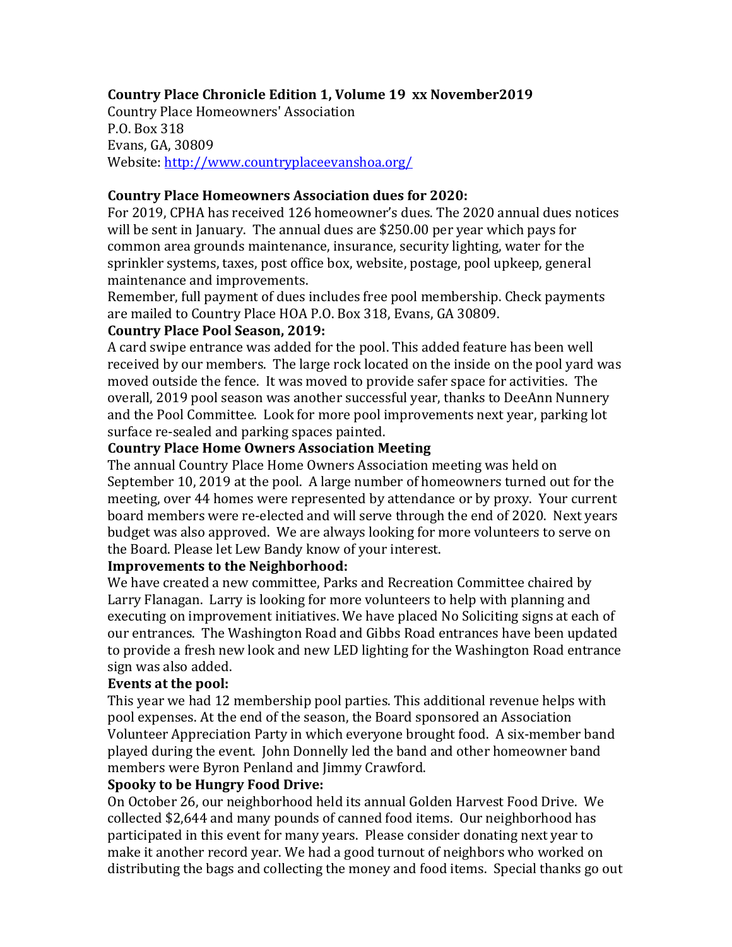## **Country Place Chronicle Edition 1, Volume 19 xx November2019**

Country Place Homeowners' Association P.O. Box 318 Evans, GA, 30809 Website: <http://www.countryplaceevanshoa.org/>

### **Country Place Homeowners Association dues for 2020:**

For 2019, CPHA has received 126 homeowner's dues. The 2020 annual dues notices will be sent in January. The annual dues are \$250.00 per year which pays for common area grounds maintenance, insurance, security lighting, water for the sprinkler systems, taxes, post office box, website, postage, pool upkeep, general maintenance and improvements.

Remember, full payment of dues includes free pool membership. Check payments are mailed to Country Place HOA P.O. Box 318, Evans, GA 30809.

## **Country Place Pool Season, 2019:**

A card swipe entrance was added for the pool. This added feature has been well received by our members. The large rock located on the inside on the pool yard was moved outside the fence. It was moved to provide safer space for activities. The overall, 2019 pool season was another successful year, thanks to DeeAnn Nunnery and the Pool Committee. Look for more pool improvements next year, parking lot surface re-sealed and parking spaces painted.

#### **Country Place Home Owners Association Meeting**

The annual Country Place Home Owners Association meeting was held on September 10, 2019 at the pool. A large number of homeowners turned out for the meeting, over 44 homes were represented by attendance or by proxy. Your current board members were re-elected and will serve through the end of 2020. Next years budget was also approved. We are always looking for more volunteers to serve on the Board. Please let Lew Bandy know of your interest.

## **Improvements to the Neighborhood:**

We have created a new committee, Parks and Recreation Committee chaired by Larry Flanagan. Larry is looking for more volunteers to help with planning and executing on improvement initiatives. We have placed No Soliciting signs at each of our entrances. The Washington Road and Gibbs Road entrances have been updated to provide a fresh new look and new LED lighting for the Washington Road entrance sign was also added.

## **Events at the pool:**

This year we had 12 membership pool parties. This additional revenue helps with pool expenses. At the end of the season, the Board sponsored an Association Volunteer Appreciation Party in which everyone brought food. A six-member band played during the event. John Donnelly led the band and other homeowner band members were Byron Penland and Jimmy Crawford.

#### **Spooky to be Hungry Food Drive:**

On October 26, our neighborhood held its annual Golden Harvest Food Drive. We collected \$2,644 and many pounds of canned food items. Our neighborhood has participated in this event for many years. Please consider donating next year to make it another record year. We had a good turnout of neighbors who worked on distributing the bags and collecting the money and food items. Special thanks go out